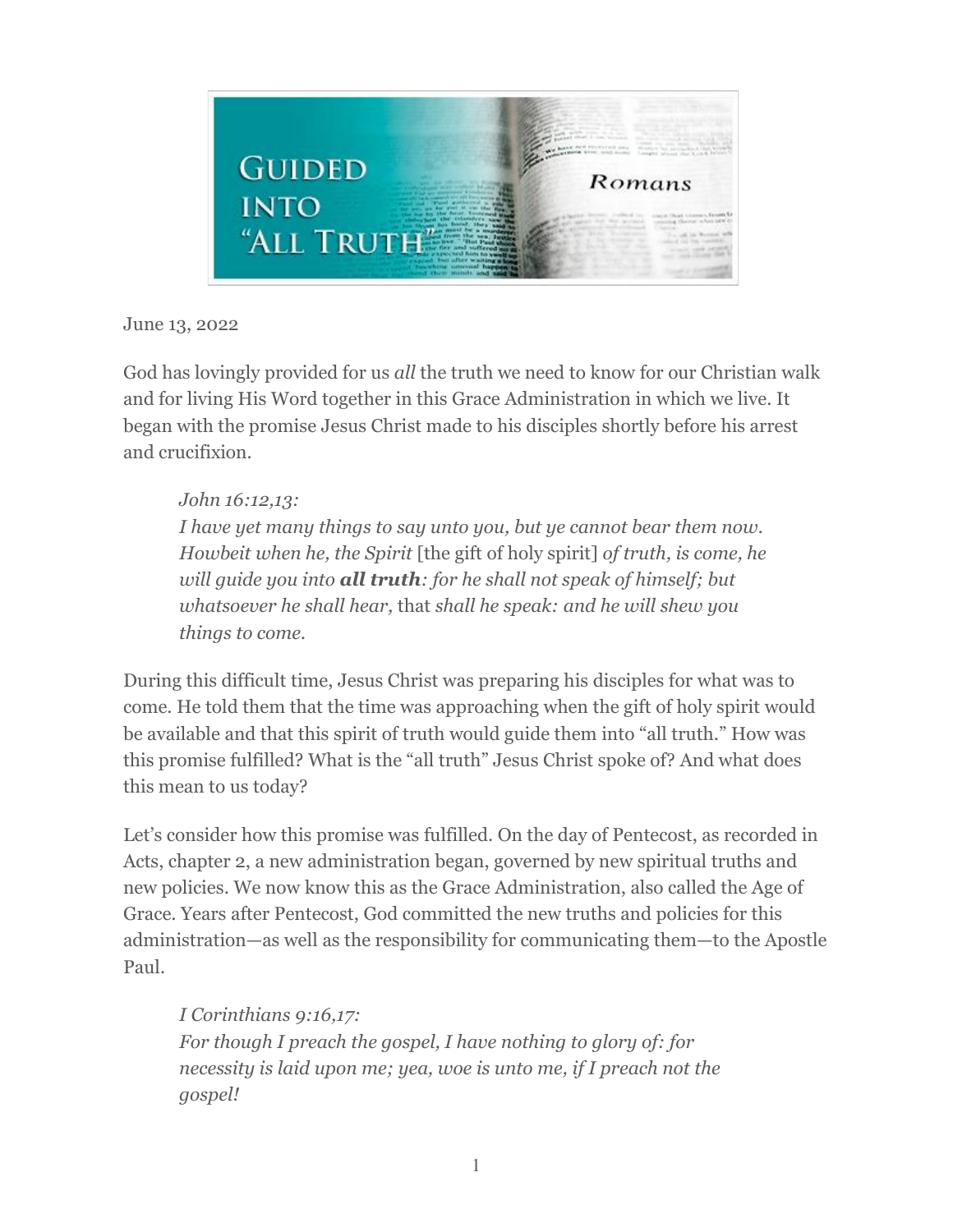

June 13, 2022

God has lovingly provided for us *all* the truth we need to know for our Christian walk and for living His Word together in this Grace Administration in which we live. It began with the promise Jesus Christ made to his disciples shortly before his arrest and crucifixion.

## *John 16:12,13:*

*I have yet many things to say unto you, but ye cannot bear them now. Howbeit when he, the Spirit* [the gift of holy spirit] *of truth, is come, he will guide you into all truth: for he shall not speak of himself; but whatsoever he shall hear,* that *shall he speak: and he will shew you things to come.*

During this difficult time, Jesus Christ was preparing his disciples for what was to come. He told them that the time was approaching when the gift of holy spirit would be available and that this spirit of truth would guide them into "all truth." How was this promise fulfilled? What is the "all truth" Jesus Christ spoke of? And what does this mean to us today?

Let's consider how this promise was fulfilled. On the day of Pentecost, as recorded in Acts, chapter 2, a new administration began, governed by new spiritual truths and new policies. We now know this as the Grace Administration, also called the Age of Grace. Years after Pentecost, God committed the new truths and policies for this administration—as well as the responsibility for communicating them—to the Apostle Paul.

*I Corinthians 9:16,17: For though I preach the gospel, I have nothing to glory of: for necessity is laid upon me; yea, woe is unto me, if I preach not the gospel!*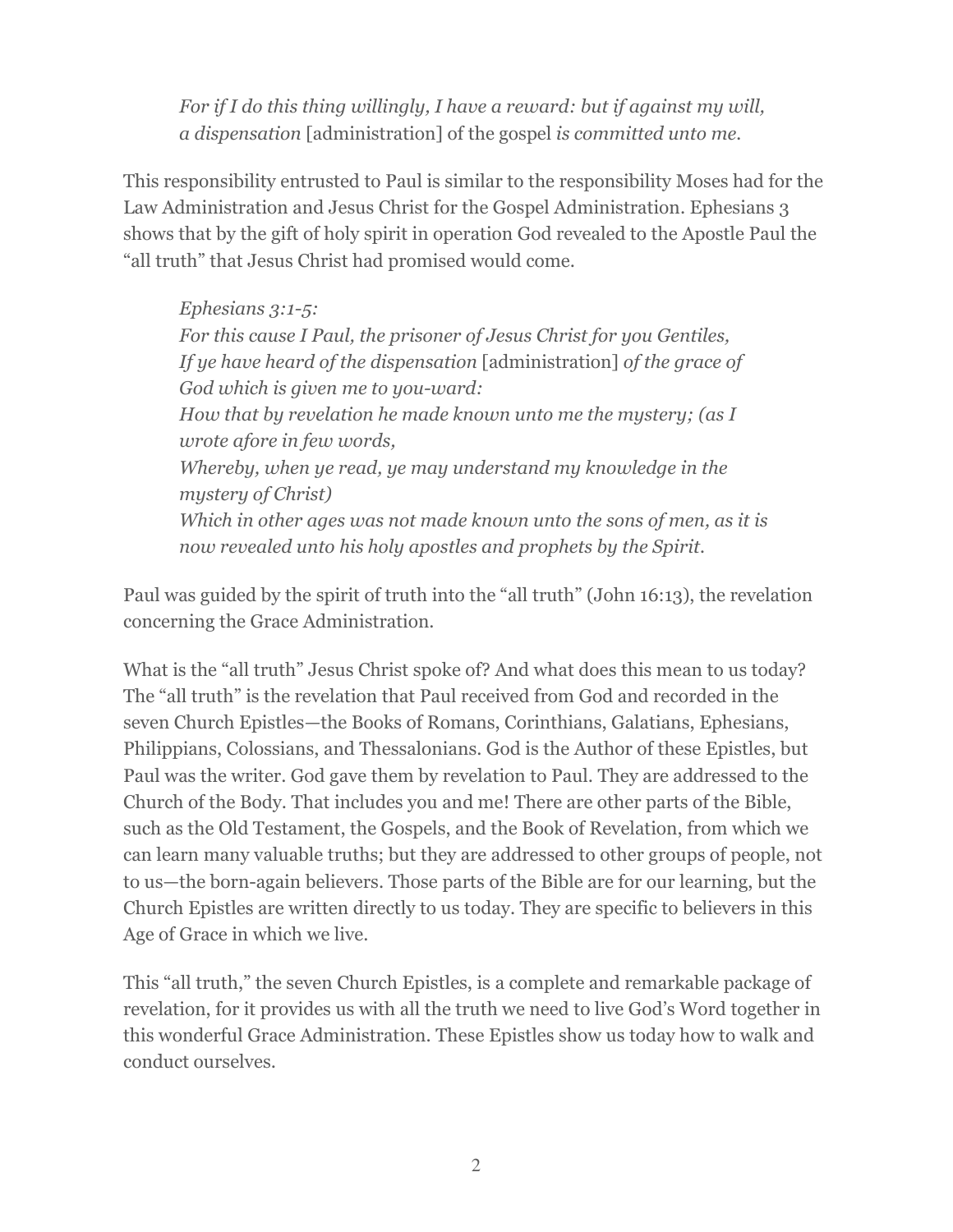*For if I do this thing willingly, I have a reward: but if against my will, a dispensation* [administration] of the gospel *is committed unto me.*

This responsibility entrusted to Paul is similar to the responsibility Moses had for the Law Administration and Jesus Christ for the Gospel Administration. Ephesians 3 shows that by the gift of holy spirit in operation God revealed to the Apostle Paul the "all truth" that Jesus Christ had promised would come.

*Ephesians 3:1-5: For this cause I Paul, the prisoner of Jesus Christ for you Gentiles, If ye have heard of the dispensation* [administration] *of the grace of God which is given me to you-ward: How that by revelation he made known unto me the mystery; (as I wrote afore in few words, Whereby, when ye read, ye may understand my knowledge in the mystery of Christ) Which in other ages was not made known unto the sons of men, as it is now revealed unto his holy apostles and prophets by the Spirit.*

Paul was guided by the spirit of truth into the "all truth" (John 16:13), the revelation concerning the Grace Administration.

What is the "all truth" Jesus Christ spoke of? And what does this mean to us today? The "all truth" is the revelation that Paul received from God and recorded in the seven Church Epistles—the Books of Romans, Corinthians, Galatians, Ephesians, Philippians, Colossians, and Thessalonians. God is the Author of these Epistles, but Paul was the writer. God gave them by revelation to Paul. They are addressed to the Church of the Body. That includes you and me! There are other parts of the Bible, such as the Old Testament, the Gospels, and the Book of Revelation, from which we can learn many valuable truths; but they are addressed to other groups of people, not to us—the born-again believers. Those parts of the Bible are for our learning, but the Church Epistles are written directly to us today. They are specific to believers in this Age of Grace in which we live.

This "all truth," the seven Church Epistles, is a complete and remarkable package of revelation, for it provides us with all the truth we need to live God's Word together in this wonderful Grace Administration. These Epistles show us today how to walk and conduct ourselves.